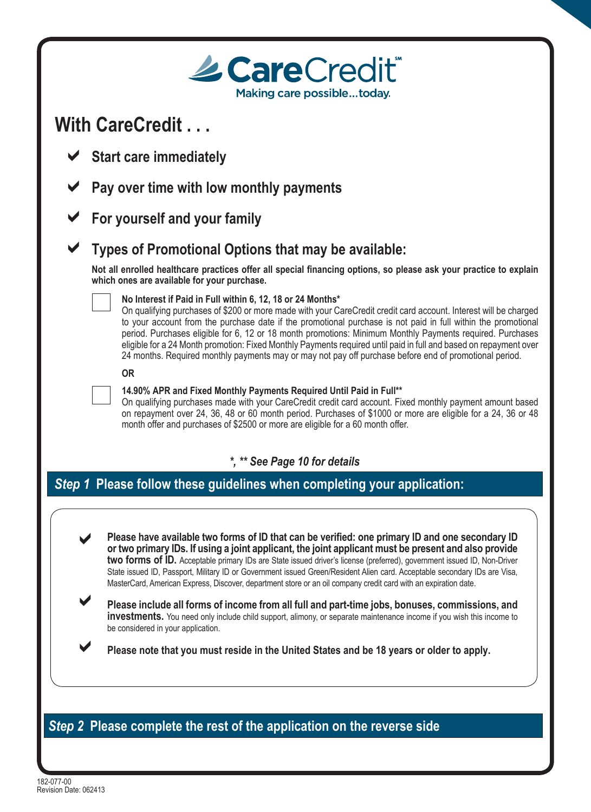| With CareCredit                                                                                                                                                                                                                                                                                                                                                                                                                                                                                                                                                                                                                             |
|---------------------------------------------------------------------------------------------------------------------------------------------------------------------------------------------------------------------------------------------------------------------------------------------------------------------------------------------------------------------------------------------------------------------------------------------------------------------------------------------------------------------------------------------------------------------------------------------------------------------------------------------|
| <b>Start care immediately</b>                                                                                                                                                                                                                                                                                                                                                                                                                                                                                                                                                                                                               |
| Pay over time with low monthly payments                                                                                                                                                                                                                                                                                                                                                                                                                                                                                                                                                                                                     |
| For yourself and your family                                                                                                                                                                                                                                                                                                                                                                                                                                                                                                                                                                                                                |
| Types of Promotional Options that may be available:                                                                                                                                                                                                                                                                                                                                                                                                                                                                                                                                                                                         |
| Not all enrolled healthcare practices offer all special financing options, so please ask your practice to explain<br>which ones are available for your purchase.                                                                                                                                                                                                                                                                                                                                                                                                                                                                            |
| No Interest if Paid in Full within 6, 12, 18 or 24 Months*<br>On qualifying purchases of \$200 or more made with your CareCredit credit card account. Interest will be charged<br>to your account from the purchase date if the promotional purchase is not paid in full within the promotional<br>period. Purchases eligible for 6, 12 or 18 month promotions: Minimum Monthly Payments required. Purchases<br>eligible for a 24 Month promotion: Fixed Monthly Payments required until paid in full and based on repayment over<br>24 months. Required monthly payments may or may not pay off purchase before end of promotional period. |
| <b>OR</b>                                                                                                                                                                                                                                                                                                                                                                                                                                                                                                                                                                                                                                   |
| 14.90% APR and Fixed Monthly Payments Required Until Paid in Full**<br>On qualifying purchases made with your CareCredit credit card account. Fixed monthly payment amount based<br>on repayment over 24, 36, 48 or 60 month period. Purchases of \$1000 or more are eligible for a 24, 36 or 48<br>month offer and purchases of \$2500 or more are eligible for a 60 month offer.                                                                                                                                                                                                                                                          |
| *, ** See Page 10 for details                                                                                                                                                                                                                                                                                                                                                                                                                                                                                                                                                                                                               |
| Step 1 Please follow these guidelines when completing your application:                                                                                                                                                                                                                                                                                                                                                                                                                                                                                                                                                                     |
|                                                                                                                                                                                                                                                                                                                                                                                                                                                                                                                                                                                                                                             |
| Please have available two forms of ID that can be verified: one primary ID and one secondary ID<br>or two primary IDs. If using a joint applicant, the joint applicant must be present and also provide<br>two forms of ID. Acceptable primary IDs are State issued driver's license (preferred), government issued ID, Non-Driver<br>State issued ID, Passport, Military ID or Government issued Green/Resident Alien card. Acceptable secondary IDs are Visa,<br>MasterCard, American Express, Discover, department store or an oil company credit card with an expiration date.                                                          |
| Please include all forms of income from all full and part-time jobs, bonuses, commissions, and<br><b>investments.</b> You need only include child support, alimony, or separate maintenance income if you wish this income to<br>be considered in your application.                                                                                                                                                                                                                                                                                                                                                                         |
| Please note that you must reside in the United States and be 18 years or older to apply.                                                                                                                                                                                                                                                                                                                                                                                                                                                                                                                                                    |
|                                                                                                                                                                                                                                                                                                                                                                                                                                                                                                                                                                                                                                             |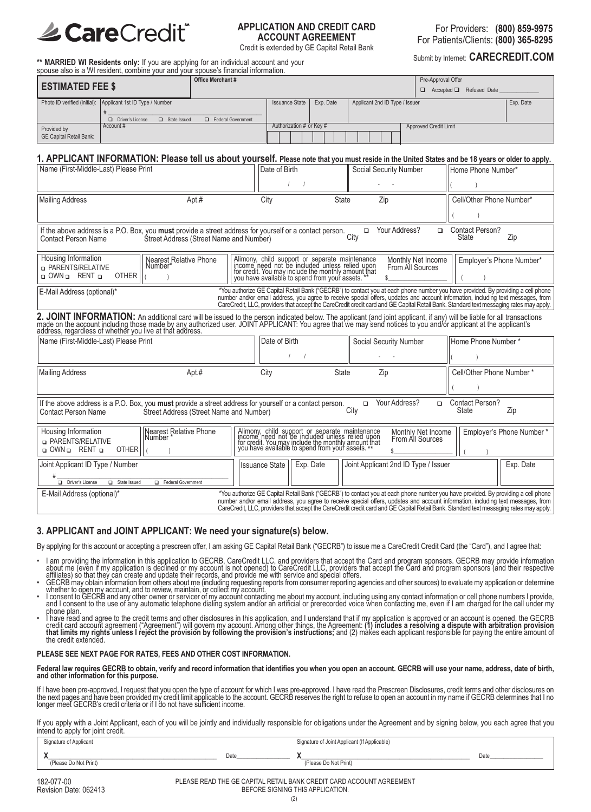

### **APPLICATION AND CREDIT CARD ACCOUNT AGREEMENT**

For Providers: **(800) 859-9975** For Patients/Clients: **(800) 365-8295**

Credit is extended by GE Capital Retail Bank<br>
Submit by Internet: **CARECREDIT.COM** 

**\*\* MARRIED WI Residents only:** If you are applying for an individual account and your spouse also is a WI resident, combine your and your spouse's financial information.

|                                |                                                             | <b>Office Merchant #</b> |                          |           |                                | Pre-Approval Offer                  |           |
|--------------------------------|-------------------------------------------------------------|--------------------------|--------------------------|-----------|--------------------------------|-------------------------------------|-----------|
| <b>ESTIMATED FEE \$</b>        |                                                             |                          |                          |           |                                | $\Box$ Accepted $\Box$ Refused Date |           |
|                                | Photo ID verified (initial): Applicant 1st ID Type / Number |                          | <b>Issuance State</b>    | Exp. Date | Applicant 2nd ID Type / Issuer |                                     | Exp. Date |
|                                |                                                             |                          |                          |           |                                |                                     |           |
|                                | Driver's License<br>$\Box$ State Issued                     | Federal Government       |                          |           |                                |                                     |           |
| Provided by                    | Account#                                                    |                          | Authorization # or Key # |           |                                | Approved Credit Limit               |           |
| <b>GE Capital Retail Bank:</b> |                                                             |                          |                          |           |                                |                                     |           |

### 1. APPLICANT INFORMATION: Please tell us about yourself. Please note that you must reside in the United States and be 18 years or older to apply.

| Name (First-Middle-Last) Please Print                                                                                                                                                                                                                    |                                                                                                                                                                                                                                                                      | Date of Birth         |                                                                                                                                                                                                    | Social Security Number                                                                                                                                                                                                                                                                                                                                                                                         |                    | Home Phone Number*              |                          |
|----------------------------------------------------------------------------------------------------------------------------------------------------------------------------------------------------------------------------------------------------------|----------------------------------------------------------------------------------------------------------------------------------------------------------------------------------------------------------------------------------------------------------------------|-----------------------|----------------------------------------------------------------------------------------------------------------------------------------------------------------------------------------------------|----------------------------------------------------------------------------------------------------------------------------------------------------------------------------------------------------------------------------------------------------------------------------------------------------------------------------------------------------------------------------------------------------------------|--------------------|---------------------------------|--------------------------|
|                                                                                                                                                                                                                                                          |                                                                                                                                                                                                                                                                      |                       |                                                                                                                                                                                                    |                                                                                                                                                                                                                                                                                                                                                                                                                |                    |                                 |                          |
| <b>Mailing Address</b>                                                                                                                                                                                                                                   | Apt.#                                                                                                                                                                                                                                                                | City                  | <b>State</b>                                                                                                                                                                                       | Zip                                                                                                                                                                                                                                                                                                                                                                                                            |                    | Cell/Other Phone Number*        |                          |
|                                                                                                                                                                                                                                                          |                                                                                                                                                                                                                                                                      |                       |                                                                                                                                                                                                    |                                                                                                                                                                                                                                                                                                                                                                                                                |                    |                                 |                          |
| Contact Person Name                                                                                                                                                                                                                                      | If the above address is a P.O. Box, you must provide a street address for yourself or a contact person.<br>Street Address (Street Name and Number)                                                                                                                   |                       |                                                                                                                                                                                                    | Your Address?<br>$\Box$<br>City                                                                                                                                                                                                                                                                                                                                                                                | $\Box$             | <b>Contact Person?</b><br>State | Zip                      |
| Housing Information<br><b>D</b> PARENTS/RELATIVE<br><b>OTHER</b><br>o OWN o RENT o                                                                                                                                                                       | <b>Nearest Relative Phone</b><br>Number*                                                                                                                                                                                                                             |                       | Alimony, child support or separate maintenance income need not be included unless relied upon for credit. You may include the monthly amount that you have available to spend from your assets. ** | Monthly Net Income<br>From All Sources                                                                                                                                                                                                                                                                                                                                                                         |                    | Employer's Phone Number*        |                          |
| E-Mail Address (optional)*                                                                                                                                                                                                                               |                                                                                                                                                                                                                                                                      |                       |                                                                                                                                                                                                    | *You authorize GE Capital Retail Bank ("GECRB") to contact you at each phone number you have provided. By providing a cell phone<br>number and/or email address, you agree to receive special offers, updates and account information, including text messages, from<br>CareCredit, LLC, providers that accept the CareCredit credit card and GE Capital Retail Bank. Standard text messaging rates may apply. |                    |                                 |                          |
|                                                                                                                                                                                                                                                          | 2. JOINT INFORMATION: An additional card will be issued to the person indicated below. The applicant (and joint applicant, if any) will be liable for all transactions made on the account including those made by any authori                                       |                       |                                                                                                                                                                                                    |                                                                                                                                                                                                                                                                                                                                                                                                                |                    |                                 |                          |
| Name (First-Middle-Last) Please Print                                                                                                                                                                                                                    |                                                                                                                                                                                                                                                                      | Date of Birth         |                                                                                                                                                                                                    | Social Security Number                                                                                                                                                                                                                                                                                                                                                                                         |                    | Home Phone Number*              |                          |
|                                                                                                                                                                                                                                                          |                                                                                                                                                                                                                                                                      |                       |                                                                                                                                                                                                    |                                                                                                                                                                                                                                                                                                                                                                                                                |                    |                                 |                          |
| <b>Mailing Address</b>                                                                                                                                                                                                                                   | Apt #                                                                                                                                                                                                                                                                | City                  | <b>State</b>                                                                                                                                                                                       | Zip                                                                                                                                                                                                                                                                                                                                                                                                            |                    | Cell/Other Phone Number*        |                          |
|                                                                                                                                                                                                                                                          |                                                                                                                                                                                                                                                                      |                       |                                                                                                                                                                                                    |                                                                                                                                                                                                                                                                                                                                                                                                                |                    |                                 |                          |
| Your Address?<br>Contact Person?<br>If the above address is a P.O. Box, you must provide a street address for yourself or a contact person.<br>$\Box$<br>$\Box$<br>Zip<br>State<br>Street Address (Street Name and Number)<br><b>Contact Person Name</b> |                                                                                                                                                                                                                                                                      |                       |                                                                                                                                                                                                    |                                                                                                                                                                                                                                                                                                                                                                                                                |                    |                                 |                          |
| Housing Information<br><b>D</b> PARENTS/RELATIVE<br>o OWN o RENT o<br><b>OTHER</b>                                                                                                                                                                       | Nearest Relative Phone<br>Number *                                                                                                                                                                                                                                   |                       | Alimony, child support or separate maintenance income need not be included unless relied upon for eredit. You may include the monthly amount that you have available to spend from your assets. ** | From All Sources                                                                                                                                                                                                                                                                                                                                                                                               | Monthly Net Income |                                 | Employer's Phone Number* |
| Joint Applicant ID Type / Number                                                                                                                                                                                                                         |                                                                                                                                                                                                                                                                      | <b>Issuance State</b> | Exp. Date                                                                                                                                                                                          | Joint Applicant 2nd ID Type / Issuer                                                                                                                                                                                                                                                                                                                                                                           |                    |                                 | Exp. Date                |
| Driver's License<br>State Issued<br>Federal Government                                                                                                                                                                                                   |                                                                                                                                                                                                                                                                      |                       |                                                                                                                                                                                                    |                                                                                                                                                                                                                                                                                                                                                                                                                |                    |                                 |                          |
| E-Mail Address (optional)*                                                                                                                                                                                                                               | *You authorize GE Capital Retail Bank ("GECRB") to contact you at each phone number you have provided. By providing a cell phone<br>number and/or email address, you agree to receive special offers, updates and account information, including text messages, from |                       |                                                                                                                                                                                                    |                                                                                                                                                                                                                                                                                                                                                                                                                |                    |                                 |                          |
| CareCredit, LLC, providers that accept the CareCredit credit card and GE Capital Retail Bank. Standard text messaging rates may apply.                                                                                                                   |                                                                                                                                                                                                                                                                      |                       |                                                                                                                                                                                                    |                                                                                                                                                                                                                                                                                                                                                                                                                |                    |                                 |                          |

### **3. APPLICANT and JOINT APPLICANT: We need your signature(s) below.**

By applying for this account or accepting a prescreen offer, I am asking GE Capital Retail Bank ("GECRB") to issue me a CareCredit Credit Card (the "Card"), and I agree that:

- I am providing the information in this application to GECRB, CareCredit LLC, and providers that accept the Card and program sponsors. GECRB may provide information<br>about me (even if my application is declined or my account
- 
- affiliates) so that they can create and update their records, and provide me with service and special offers.<br>GECRB may obtain information from others about me (including requesting reports from consumer reporting agencies
- phone plan.<br>• I have read and agree to the credit terms and other disclosures in this application, and I understand that if my application is approved or an account is opened, the GECRB credit card account agreement ("Agreement") will govern my account. Among other things, the Agreement: (1) includes a resolving a dispute with arbitration provision<br>that limits my rights unless I reject the provision by fo

#### **PLEASE SEE NEXT PAGE FOR RATES, FEES AND OTHER COST INFORMATION.**

Federal law requires GECRB to obtain, verify and record information that identifies you when you open an account. GECRB will use your name, address, date of birth, and other information for this purpose.

If I have been pre-approved, I request that you open the type of account for which I was pre-approved. I have read the Prescreen Disclosures, credit terms and other disclosures on<br>the next pages and have been provided my c

If you apply with a Joint Applicant, each of you will be jointly and individually responsible for obligations under the Agreement and by signing below, you each agree that you intend to apply for joint credit.

| Signature of Applicant |      | Signature of Joint Applicant (If Applicable) |      |
|------------------------|------|----------------------------------------------|------|
| (Please Do Not Print)  | Date | (Please Do Not Print)                        | Date |

PLEASE READ THE GE CAPITAL RETAIL BANK CREDIT CARD ACCOUNT AGREEMENT BEFORE SIGNING THIS APPLICATION.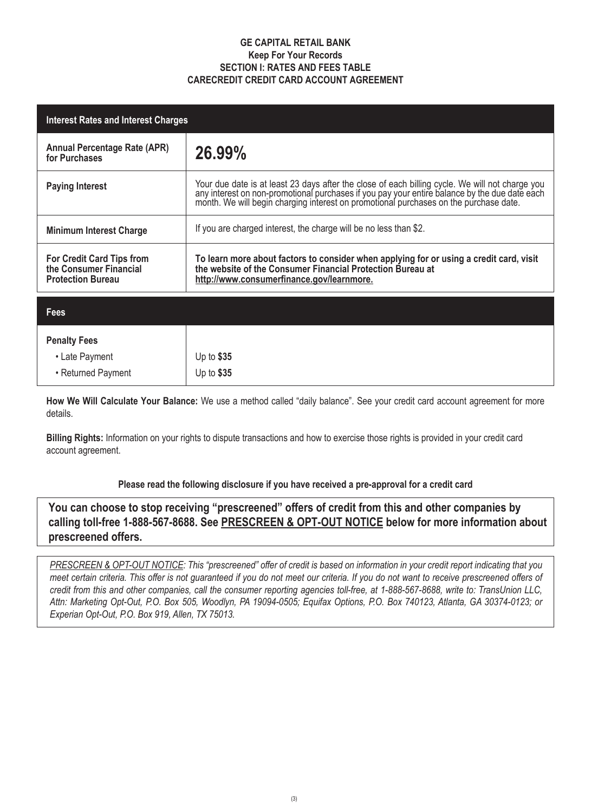### **GE CAPITAL RETAIL BANK Keep For Your Records SECTION I: RATES AND FEES TABLE CARECREDIT CREDIT CARD ACCOUNT AGREEMENT**

| <b>Interest Rates and Interest Charges</b>                                             |                                                                                                                                                                                                                                |  |  |  |
|----------------------------------------------------------------------------------------|--------------------------------------------------------------------------------------------------------------------------------------------------------------------------------------------------------------------------------|--|--|--|
| <b>Annual Percentage Rate (APR)</b><br>for Purchases                                   | 26.99%                                                                                                                                                                                                                         |  |  |  |
| <b>Paying Interest</b>                                                                 | Your due date is at least 23 days after the close of each billing cycle. We will not charge you any interest on non-promotional purchases if you pay your entire balance by the due date each month. We will begin charging in |  |  |  |
| <b>Minimum Interest Charge</b>                                                         | If you are charged interest, the charge will be no less than \$2.                                                                                                                                                              |  |  |  |
| <b>For Credit Card Tips from</b><br>the Consumer Financial<br><b>Protection Bureau</b> | To learn more about factors to consider when applying for or using a credit card, visit<br>the website of the Consumer Financial Protection Bureau at<br>http://www.consumerfinance.gov/learnmore.                             |  |  |  |
| <b>Fees</b>                                                                            |                                                                                                                                                                                                                                |  |  |  |
| <b>Penalty Fees</b>                                                                    |                                                                                                                                                                                                                                |  |  |  |
| • Late Payment                                                                         | Up to $$35$                                                                                                                                                                                                                    |  |  |  |
| • Returned Payment                                                                     | Up to $$35$                                                                                                                                                                                                                    |  |  |  |

**How We Will Calculate Your Balance:** We use a method called "daily balance". See your credit card account agreement for more details.

**Billing Rights:** Information on your rights to dispute transactions and how to exercise those rights is provided in your credit card account agreement.

### **Please read the following disclosure if you have received a pre-approval for a credit card**

**You can choose to stop receiving "prescreened" offers of credit from this and other companies by calling toll-free 1-888-567-8688. See PRESCREEN & OPT-OUT NOTICE below for more information about prescreened offers.**

*PRESCREEN & OPT-OUT NOTICE: This "prescreened" offer of credit is based on information in your credit report indicating that you meet certain criteria. This offer is not guaranteed if you do not meet our criteria. If you do not want to receive prescreened offers of credit from this and other companies, call the consumer reporting agencies toll-free, at 1-888-567-8688, write to: TransUnion LLC, Attn: Marketing Opt-Out, P.O. Box 505, Woodlyn, PA 19094-0505; Equifax Options, P.O. Box 740123, Atlanta, GA 30374-0123; or Experian Opt-Out, P.O. Box 919, Allen, TX 75013.*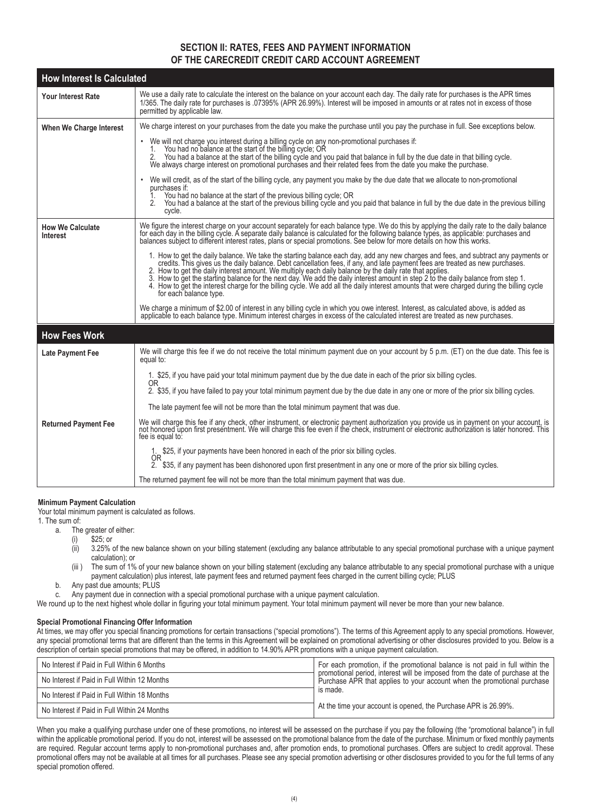### **SECTION II: RATES, FEES AND PAYMENT INFORMATION OF THE CARECREDIT CREDIT CARD ACCOUNT AGREEMENT**

| <b>How Interest Is Calculated</b>          |                                                                                                                                                                                                                                                                                                                                                                                                                                                                                                                                                                                                                                           |
|--------------------------------------------|-------------------------------------------------------------------------------------------------------------------------------------------------------------------------------------------------------------------------------------------------------------------------------------------------------------------------------------------------------------------------------------------------------------------------------------------------------------------------------------------------------------------------------------------------------------------------------------------------------------------------------------------|
| <b>Your Interest Rate</b>                  | We use a daily rate to calculate the interest on the balance on your account each day. The daily rate for purchases is the APR times<br>1/365. The daily rate for purchases is .07395% (APR 26.99%). Interest will be imposed in amounts or at rates not in excess of those<br>permitted by applicable law.                                                                                                                                                                                                                                                                                                                               |
| When We Charge Interest                    | We charge interest on your purchases from the date you make the purchase until you pay the purchase in full. See exceptions below.                                                                                                                                                                                                                                                                                                                                                                                                                                                                                                        |
|                                            | • We will not charge you interest during a billing cycle on any non-promotional purchases if:<br>You had no balance at the start of the billing cycle, OR<br>2. You had a balance at the start of the billing cycle and you paid that balance in full by the due date in that billing cycle.<br>We always charge interest on promotional purchases and their related fees from the date you ma                                                                                                                                                                                                                                            |
|                                            | We will credit, as of the start of the billing cycle, any payment you make by the due date that we allocate to non-promotional<br>purchases if:<br>You had no balance at the start of the previous billing cycle; OR<br>You had a balance at the start of the previous billing cycle and you paid that balance in full by the due date in the previous billing<br>2.<br>cycle.                                                                                                                                                                                                                                                            |
| <b>How We Calculate</b><br><b>Interest</b> | We figure the interest charge on your account separately for each balance type. We do this by applying the daily rate to the daily balance<br>for each day in the billing cycle. A separate daily balance is calculated for the following balance types, as applicable: purchases and<br>balances subject to different interest rates, plans or special promotions. See below f                                                                                                                                                                                                                                                           |
|                                            | 1. How to get the daily balance. We take the starting balance each day, add any new charges and fees, and subtract any payments or credits. This gives us the daily balance. Debt cancellation fees, if any, and late payment<br>2. How to get the daily interest amount. We multiply each daily balance by the daily rate that applies.<br>3. How to get the starting balance for the next day. We add the daily interest amount in step 2 to the daily balance f<br>4. How to get the interest charge for the billing cycle. We add all the daily interest amounts that were charged during the billing cycle<br>for each balance type. |
|                                            | We charge a minimum of \$2.00 of interest in any billing cycle in which you owe interest. Interest, as calculated above, is added as applicable to each balance type. Minimum interest charges in excess of the calculated inte                                                                                                                                                                                                                                                                                                                                                                                                           |
| <b>How Fees Work</b>                       |                                                                                                                                                                                                                                                                                                                                                                                                                                                                                                                                                                                                                                           |
| Late Payment Fee                           | We will charge this fee if we do not receive the total minimum payment due on your account by 5 p.m. (ET) on the due date. This fee is<br>equal to:                                                                                                                                                                                                                                                                                                                                                                                                                                                                                       |
|                                            | 1. \$25, if you have paid your total minimum payment due by the due date in each of the prior six billing cycles.<br>0R                                                                                                                                                                                                                                                                                                                                                                                                                                                                                                                   |
|                                            | 2. \$35, if you have failed to pay your total minimum payment due by the due date in any one or more of the prior six billing cycles.                                                                                                                                                                                                                                                                                                                                                                                                                                                                                                     |
|                                            | The late payment fee will not be more than the total minimum payment that was due.                                                                                                                                                                                                                                                                                                                                                                                                                                                                                                                                                        |
| <b>Returned Payment Fee</b>                | We will charge this fee if any check, other instrument, or electronic payment authorization you provide us in payment on your account, is<br>not honored upon first presentment. We will charge this fee even if the check, instr<br>fee is equal to:                                                                                                                                                                                                                                                                                                                                                                                     |
|                                            | 1. \$25, if your payments have been honored in each of the prior six billing cycles.<br>0R                                                                                                                                                                                                                                                                                                                                                                                                                                                                                                                                                |
|                                            | 2. \$35, if any payment has been dishonored upon first presentment in any one or more of the prior six billing cycles.                                                                                                                                                                                                                                                                                                                                                                                                                                                                                                                    |
|                                            | The returned payment fee will not be more than the total minimum payment that was due.                                                                                                                                                                                                                                                                                                                                                                                                                                                                                                                                                    |

#### **Minimum Payment Calculation**

Your total minimum payment is calculated as follows.

1. The sum of:

- a. The greater of either:
	- (i) \$25; or
	- (ii) 3.25% of the new balance shown on your billing statement (excluding any balance attributable to any special promotional purchase with a unique payment calculation); or
	- (iii ) The sum of 1% of your new balance shown on your billing statement (excluding any balance attributable to any special promotional purchase with a unique payment calculation) plus interest, late payment fees and returned payment fees charged in the current billing cycle; PLUS
- b. Any past due amounts; PLUS

c. Any payment due in connection with a special promotional purchase with a unique payment calculation.

We round up to the next highest whole dollar in figuring your total minimum payment. Your total minimum payment will never be more than your new balance.

#### **Special Promotional Financing Offer Information**

At times, we may offer you special financing promotions for certain transactions ("special promotions"). The terms of this Agreement apply to any special promotions. However, any special promotional terms that are different than the terms in this Agreement will be explained on promotional advertising or other disclosures provided to you. Below is a description of certain special promotions that may be offered, in addition to 14.90% APR promotions with a unique payment calculation.

| No Interest if Paid in Full Within 6 Months  | For each promotion, if the promotional balance is not paid in full within the                                                                            |
|----------------------------------------------|----------------------------------------------------------------------------------------------------------------------------------------------------------|
| No Interest if Paid in Full Within 12 Months | promotional period, interest will be imposed from the date of purchase at the<br>Purchase APR that applies to your account when the promotional purchase |
| No Interest if Paid in Full Within 18 Months | is made.                                                                                                                                                 |
| No Interest if Paid in Full Within 24 Months | At the time your account is opened, the Purchase APR is 26.99%.                                                                                          |

When you make a qualifying purchase under one of these promotions, no interest will be assessed on the purchase if you pay the following (the "promotional balance") in full within the applicable promotional period. If you do not, interest will be assessed on the promotional balance from the date of the purchase. Minimum or fixed monthly payments are required. Regular account terms apply to non-promotional purchases and, after promotion ends, to promotional purchases. Offers are subject to credit approval. These promotional offers may not be available at all times for all purchases. Please see any special promotion advertising or other disclosures provided to you for the full terms of any special promotion offered.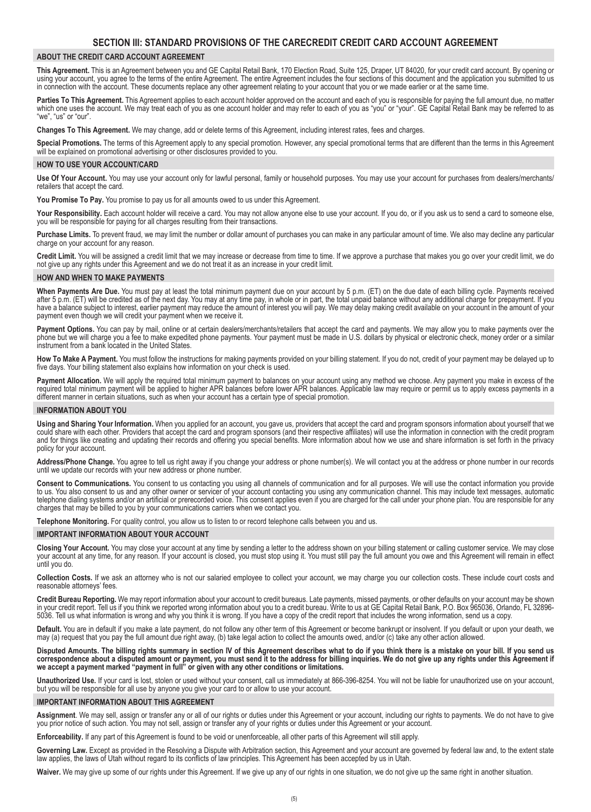#### **ABOUT THE CREDIT CARD ACCOUNT AGREEMENT**

**This Agreement.** This is an Agreement between you and GE Capital Retail Bank, 170 Election Road, Suite 125, Draper, UT 84020, for your credit card account. By opening or using your account, you agree to the terms of the entire Agreement. The entire Agreement includes the four sections of this document and the application you submitted to us in connection with the account. These documents replace any other agreement relating to your account that you or we made earlier or at the same time.

**Parties To This Agreement.** This Agreement applies to each account holder approved on the account and each of you is responsible for paying the full amount due, no matter which one uses the account. We may treat each of you as one account holder and may refer to each of you as "you" or "your". GE Capital Retail Bank may be referred to as "we", "us" or "our".

**Changes To This Agreement.** We may change, add or delete terms of this Agreement, including interest rates, fees and charges.

**Special Promotions.** The terms of this Agreement apply to any special promotion. However, any special promotional terms that are different than the terms in this Agreement will be explained on promotional advertising or other disclosures provided to you.

#### **HOW TO USE YOUR ACCOUNT/CARD**

**Use Of Your Account.** You may use your account only for lawful personal, family or household purposes. You may use your account for purchases from dealers/merchants/ retailers that accept the card.

**You Promise To Pay.** You promise to pay us for all amounts owed to us under this Agreement.

Your Responsibility. Each account holder will receive a card. You may not allow anyone else to use your account. If you do, or if you ask us to send a card to someone else, you will be responsible for paying for all charges resulting from their transactions.

**Purchase Limits.** To prevent fraud, we may limit the number or dollar amount of purchases you can make in any particular amount of time. We also may decline any particular charge on your account for any reason.

**Credit Limit.** You will be assigned a credit limit that we may increase or decrease from time to time. If we approve a purchase that makes you go over your credit limit, we do not give up any rights under this Agreement and we do not treat it as an increase in your credit limit.

#### **HOW AND WHEN TO MAKE PAYMENTS**

**When Payments Are Due.** You must pay at least the total minimum payment due on your account by 5 p.m. (ET) on the due date of each billing cycle. Payments received after 5 p.m. (ET) will be credited as of the next day. You may at any time pay, in whole or in part, the total unpaid balance without any additional charge for prepayment. If you have a balance subject to interest, earlier payment may reduce the amount of interest you will pay. We may delay making credit available on your account in the amount of your payment even though we will credit your payment when we receive it.

Payment Options. You can pay by mail, online or at certain dealers/merchants/retailers that accept the card and payments. We may allow you to make payments over the phone but we will charge you a fee to make expedited phone payments. Your payment must be made in U.S. dollars by physical or electronic check, money order or a similar instrument from a bank located in the United States.

**How To Make A Payment.** You must follow the instructions for making payments provided on your billing statement. If you do not, credit of your payment may be delayed up to five days. Your billing statement also explains how information on your check is used.

**Payment Allocation.** We will apply the required total minimum payment to balances on your account using any method we choose. Any payment you make in excess of the required total minimum payment will be applied to higher APR balances before lower APR balances. Applicable law may require or permit us to apply excess payments in a different manner in certain situations, such as when your account has a certain type of special promotion.

#### **INFORMATION ABOUT YOU**

**Using and Sharing Your Information.** When you applied for an account, you gave us, providers that accept the card and program sponsors information about yourself that we could share with each other. Providers that accept the card and program sponsors (and their respective affiliates) will use the information in connection with the credit program and for things like creating and updating their records and offering you special benefits. More information about how we use and share information is set forth in the privacy policy for your account.

**Address/Phone Change.** You agree to tell us right away if you change your address or phone number(s). We will contact you at the address or phone number in our records until we update our records with your new address or phone number.

**Consent to Communications.** You consent to us contacting you using all channels of communication and for all purposes. We will use the contact information you provide to us. You also consent to us and any other owner or servicer of your account contacting you using any communication channel. This may include text messages, automatic telephone dialing systems and/or an artificial or prerecorded voice. This consent applies even if you are charged for the call under your phone plan. You are responsible for any charges that may be billed to you by your communications carriers when we contact you.

**Telephone Monitoring.** For quality control, you allow us to listen to or record telephone calls between you and us.

#### **IMPORTANT INFORMATION ABOUT YOUR ACCOUNT**

**Closing Your Account.** You may close your account at any time by sending a letter to the address shown on your billing statement or calling customer service. We may close your account at any time, for any reason. If your account is closed, you must stop using it. You must still pay the full amount you owe and this Agreement will remain in effect until you do.

**Collection Costs.** If we ask an attorney who is not our salaried employee to collect your account, we may charge you our collection costs. These include court costs and reasonable attorneys' fees.

**Credit Bureau Reporting.** We may report information about your account to credit bureaus. Late payments, missed payments, or other defaults on your account may be shown in your credit report. Tell us if you think we reported wrong information about you to a credit bureau. Write to us at GE Capital Retail Bank, P.O. Box 965036, Orlando, FL 32896- 5036. Tell us what information is wrong and why you think it is wrong. If you have a copy of the credit report that includes the wrong information, send us a copy.

**Default.** You are in default if you make a late payment, do not follow any other term of this Agreement or become bankrupt or insolvent. If you default or upon your death, we may (a) request that you pay the full amount due right away, (b) take legal action to collect the amounts owed, and/or (c) take any other action allowed.

Disputed Amounts. The billing rights summary in section IV of this Agreement describes what to do if you think there is a mistake on your bill. If you send us correspondence about a disputed amount or payment, you must send it to the address for billing inquiries. We do not give up any rights under this Agreement if **we accept a payment marked "payment in full" or given with any other conditions or limitations.**

**Unauthorized Use.** If your card is lost, stolen or used without your consent, call us immediately at 866-396-8254. You will not be liable for unauthorized use on your account, but you will be responsible for all use by anyone you give your card to or allow to use your account.

#### **IMPORTANT INFORMATION ABOUT THIS AGREEMENT**

**Assignment**. We may sell, assign or transfer any or all of our rights or duties under this Agreement or your account, including our rights to payments. We do not have to give you prior notice of such action. You may not sell, assign or transfer any of your rights or duties under this Agreement or your account.

**Enforceability.** If any part of this Agreement is found to be void or unenforceable, all other parts of this Agreement will still apply.

**Governing Law.** Except as provided in the Resolving a Dispute with Arbitration section, this Agreement and your account are governed by federal law and, to the extent state law applies, the laws of Utah without regard to its conflicts of law principles. This Agreement has been accepted by us in Utah.

**Waiver.** We may give up some of our rights under this Agreement. If we give up any of our rights in one situation, we do not give up the same right in another situation.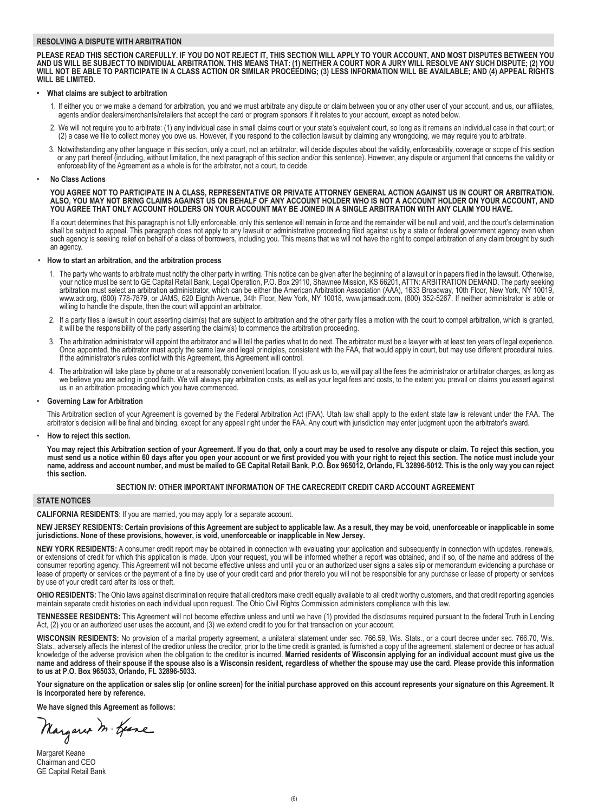#### **RESOLVING A DISPUTE WITH ARBITRATION**

PLEASE READ THIS SECTION CAREFULLY. IF YOU DO NOT REJECT IT. THIS SECTION WILL APPLY TO YOUR ACCOUNT. AND MOST DISPUTES BETWEEN YOU AND US WILL BE SUBJECT TO INDIVIDUAL ARBITRATION. THIS MEANS THAT: (1) NEITHER A COURT NOR A JURY WILL RESOLVE ANY SUCH DISPUTE; (2) YOU WILL NOT BE ABLE TO PARTICIPATE IN A CLASS ACTION OR SIMILAR PROCÈÉDING; (3) LESS INFORMATION WILL BE AVAILABLE; AND (4) APPEAL RIGHTS **WILL BE LIMITED.**

#### **• What claims are subject to arbitration**

- 1. If either you or we make a demand for arbitration, you and we must arbitrate any dispute or claim between you or any other user of your account, and us, our affiliates, agents and/or dealers/merchants/retailers that accept the card or program sponsors if it relates to your account, except as noted below.
- 2. We will not require you to arbitrate: (1) any individual case in small claims court or your state's equivalent court, so long as it remains an individual case in that court; or (2) a case we file to collect money you owe us. However, if you respond to the collection lawsuit by claiming any wrongdoing, we may require you to arbitrate.
- 3. Notwithstanding any other language in this section, only a court, not an arbitrator, will decide disputes about the validity, enforceability, coverage or scope of this section or any part thereof (including, without limitation, the next paragraph of this section and/or this sentence). However, any dispute or argument that concerns the validity or enforceability of the Agreement as a whole is for the arbitrator, not a court, to decide.

#### • **No Class Actions**

YOU AGREE NOT TO PARTICIPATE IN A CLASS, REPRESENTATIVE OR PRIVATE ATTORNEY GENERAL ACTION AGAINST US IN COURT OR ARBITRATION. ALSO, YOU MAY NOT BRING CLAIMS AGAINST US ON BEHALF OF ANY ACCOUNT HOLDER WHO IS NOT A ACCOUNT HOLDER ON YOUR ACCOUNT. AND YOU AGREE THAT ONLY ACCOUNT HOLDERS ON YOUR ACCOUNT MAY BE JOINED IN A SINGLE ARBITRATION WITH ANY CLAIM YOU HAVE.

If a court determines that this paragraph is not fully enforceable, only this sentence will remain in force and the remainder will be null and void, and the court's determination shall be subject to appeal. This paragraph does not apply to any lawsuit or administrative proceeding filed against us by a state or federal government agency even when such agency is seeking relief on behalf of a class of borrowers, including you. This means that we will not have the right to compel arbitration of any claim brought by such an agency.

#### • **How to start an arbitration, and the arbitration process**

- 1. The party who wants to arbitrate must notify the other party in writing. This notice can be given after the beginning of a lawsuit or in papers filed in the lawsuit. Otherwise, your notice must be sent to GE Capital Retail Bank, Legal Operation, P.O. Box 29110, Shawnee Mission, KS 66201, ATTN: ARBITRATION DEMAND. The party seeking arbitration must select an arbitration administrator, which can be either the American Arbitration Association (AAA), 1633 Broadway, 10th Floor, New York, NY 10019, www.adr.org, (800) 778-7879, or JAMS, 620 Eighth Avenue, 34th Floor, New York, NY 10018, www.jamsadr.com, (800) 352-5267. If neither administrator is able or willing to handle the dispute, then the court will appoint an arbitrator.
- 2. If a party files a lawsuit in court asserting claim(s) that are subject to arbitration and the other party files a motion with the court to compel arbitration, which is granted, it will be the responsibility of the party asserting the claim(s) to commence the arbitration proceeding.
- 3. The arbitration administrator will appoint the arbitrator and will tell the parties what to do next. The arbitrator must be a lawyer with at least ten years of legal experience. Once appointed, the arbitrator must apply the same law and legal principles, consistent with the FAA, that would apply in court, but may use different procedural rules. If the administrator's rules conflict with this Agreement, this Agreement will control.
- 4. The arbitration will take place by phone or at a reasonably convenient location. If you ask us to, we will pay all the fees the administrator or arbitrator charges, as long as we believe you are acting in good faith. We will always pay arbitration costs, as well as your legal fees and costs, to the extent you prevail on claims you assert against us in an arbitration proceeding which you have commenced.

#### • **Governing Law for Arbitration**

This Arbitration section of your Agreement is governed by the Federal Arbitration Act (FAA). Utah law shall apply to the extent state law is relevant under the FAA. The arbitrator's decision will be final and binding, except for any appeal right under the FAA. Any court with jurisdiction may enter judgment upon the arbitrator's award.

#### • **How to reject this section.**

You may reject this Arbitration section of your Agreement. If you do that, only a court may be used to resolve any dispute or claim. To reject this section, you must send us a notice within 60 days after you open your account or we first provided you with your right to reject this section. The notice must include your name, address and account number, and must be mailed to GE Capital Retail Bank, P.O. Box 965012, Orlando, FL 32896-5012. This is the only way you can reject **this section.**

#### **SECTION IV: OTHER IMPORTANT INFORMATION OF THE CARECREDIT CREDIT CARD ACCOUNT AGREEMENT**

### **STATE NOTICES**

#### **CALIFORNIA RESIDENTS**: If you are married, you may apply for a separate account.

NEW JERSEY RESIDENTS: Certain provisions of this Agreement are subject to applicable law. As a result, they may be void, unenforceable or inapplicable in some **jurisdictions. None of these provisions, however, is void, unenforceable or inapplicable in New Jersey.**

**NEW YORK RESIDENTS:** A consumer credit report may be obtained in connection with evaluating your application and subsequently in connection with updates, renewals, or extensions of credit for which this application is made. Upon your request, you will be informed whether a report was obtained, and if so, of the name and address of the consumer reporting agency. This Agreement will not become effective unless and until you or an authorized user signs a sales slip or memorandum evidencing a purchase or lease of property or services or the payment of a fine by use of your credit card and prior thereto you will not be responsible for any purchase or lease of property or services by use of your credit card after its loss or theft.

**OHIO RESIDENTS:** The Ohio laws against discrimination require that all creditors make credit equally available to all credit worthy customers, and that credit reporting agencies maintain separate credit histories on each individual upon request. The Ohio Civil Rights Commission administers compliance with this law.

**TENNESSEE RESIDENTS:** This Agreement will not become effective unless and until we have (1) provided the disclosures required pursuant to the federal Truth in Lending Act, (2) you or an authorized user uses the account, and (3) we extend credit to you for that transaction on your account.

**WISCONSIN RESIDENTS:** No provision of a marital property agreement, a unilateral statement under sec. 766.59, Wis. Stats., or a court decree under sec. 766.70, Wis. Stats., adversely affects the interest of the creditor unless the creditor, prior to the time credit is granted, is furnished a copy of the agreement, statement or decree or has actual knowledge of the adverse provision when the obligation to the creditor is incurred. Married residents of Wisconsin applying for an individual account must give us the name and address of their spouse if the spouse also is a Wisconsin resident, regardless of whether the spouse may use the card. Please provide this information **to us at P.O. Box 965033, Orlando, FL 32896-5033.**

Your signature on the application or sales slip (or online screen) for the initial purchase approved on this account represents your signature on this Agreement. It **is incorporated here by reference.**

**We have signed this Agreement as follows:**

Margaret M. Geene

Margaret Keane Chairman and CEO GE Capital Retail Bank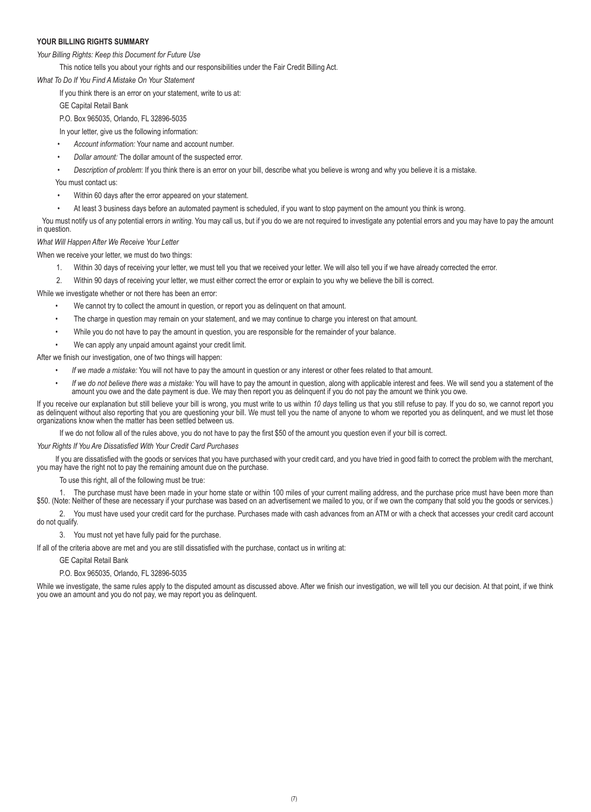#### **YOUR BILLING RIGHTS SUMMARY**

*Your Billing Rights: Keep this Document for Future Use*

This notice tells you about your rights and our responsibilities under the Fair Credit Billing Act.

*What To Do If You Find A Mistake On Your Statement*

If you think there is an error on your statement, write to us at:

GE Capital Retail Bank

P.O. Box 965035, Orlando, FL 32896-5035

In your letter, give us the following information:

- *Account information:* Your name and account number.
- *Dollar amount:* The dollar amount of the suspected error.

• *Description of problem*: If you think there is an error on your bill, describe what you believe is wrong and why you believe it is a mistake.

You must contact us:

- Within 60 days after the error appeared on your statement.
- At least 3 business days before an automated payment is scheduled, if you want to stop payment on the amount you think is wrong.

You must notify us of any potential errors *in writing.* You may call us, but if you do we are not required to investigate any potential errors and you may have to pay the amount in question.

*What Will Happen After We Receive Your Letter*

When we receive your letter, we must do two things:

- 1. Within 30 days of receiving your letter, we must tell you that we received your letter. We will also tell you if we have already corrected the error.
- 2. Within 90 days of receiving your letter, we must either correct the error or explain to you why we believe the bill is correct.

While we investigate whether or not there has been an error:

- We cannot try to collect the amount in question, or report you as delinquent on that amount.
- The charge in question may remain on your statement, and we may continue to charge you interest on that amount.
- While you do not have to pay the amount in question, you are responsible for the remainder of your balance.
- We can apply any unpaid amount against your credit limit.

After we finish our investigation, one of two things will happen:

- *If we made a mistake:* You will not have to pay the amount in question or any interest or other fees related to that amount.
- *If we do not believe there was a mistake:* You will have to pay the amount in question, along with applicable interest and fees. We will send you a statement of the amount you owe and the date payment is due. We may then report you as delinquent if you do not pay the amount we think you owe.

If you receive our explanation but still believe your bill is wrong, you must write to us within *10 days* telling us that you still refuse to pay. If you do so, we cannot report you as delinquent without also reporting that you are questioning your bill. We must tell you the name of anyone to whom we reported you as delinquent, and we must let those organizations know when the matter has been settled between us.

If we do not follow all of the rules above, you do not have to pay the first \$50 of the amount you question even if your bill is correct.

*Your Rights If You Are Dissatisfied With Your Credit Card Purchases*

If you are dissatisfied with the goods or services that you have purchased with your credit card, and you have tried in good faith to correct the problem with the merchant, you may have the right not to pay the remaining amount due on the purchase.

To use this right, all of the following must be true:

1. The purchase must have been made in your home state or within 100 miles of your current mailing address, and the purchase price must have been more than \$50. (Note: Neither of these are necessary if your purchase was based on an advertisement we mailed to you, or if we own the company that sold you the goods or services.)

2. You must have used your credit card for the purchase. Purchases made with cash advances from an ATM or with a check that accesses your credit card account do not qualify.

3. You must not yet have fully paid for the purchase.

If all of the criteria above are met and you are still dissatisfied with the purchase, contact us in writing at:

GE Capital Retail Bank

P.O. Box 965035, Orlando, FL 32896-5035

While we investigate, the same rules apply to the disputed amount as discussed above. After we finish our investigation, we will tell you our decision. At that point, if we think you owe an amount and you do not pay, we may report you as delinquent.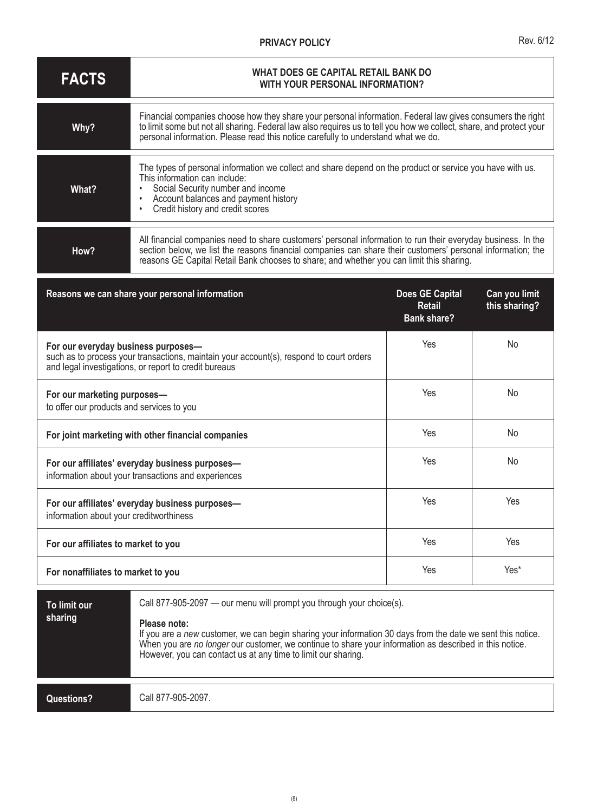### **PRIVACY POLICY**

| <b>FACTS</b> | WHAT DOES GE CAPITAL RETAIL BANK DO<br>WITH YOUR PERSONAL INFORMATION?                                                                                                                                                                                                                                                  |
|--------------|-------------------------------------------------------------------------------------------------------------------------------------------------------------------------------------------------------------------------------------------------------------------------------------------------------------------------|
| Why?         | Financial companies choose how they share your personal information. Federal law gives consumers the right<br>to limit some but not all sharing. Federal law also requires us to tell you how we collect, share, and protect your<br>personal information. Please read this notice carefully to understand what we do.  |
| What?        | The types of personal information we collect and share depend on the product or service you have with us.<br>This information can include:<br>Social Security number and income<br>Account balances and payment history<br>Credit history and credit scores                                                             |
| How?         | All financial companies need to share customers' personal information to run their everyday business. In the<br>section below, we list the reasons financial companies can share their customers' personal information; the<br>reasons GE Capital Retail Bank chooses to share; and whether you can limit this sharing. |

| Reasons we can share your personal information                                                                                                                                          | <b>Does GE Capital</b><br><b>Retail</b><br><b>Bank share?</b> | Can you limit<br>this sharing? |
|-----------------------------------------------------------------------------------------------------------------------------------------------------------------------------------------|---------------------------------------------------------------|--------------------------------|
| For our everyday business purposes-<br>such as to process your transactions, maintain your account(s), respond to court orders<br>and legal investigations, or report to credit bureaus | Yes                                                           | No                             |
| For our marketing purposes-<br>to offer our products and services to you                                                                                                                | Yes                                                           | <b>No</b>                      |
| For joint marketing with other financial companies                                                                                                                                      | Yes                                                           | <b>No</b>                      |
| For our affiliates' everyday business purposes-<br>information about your transactions and experiences                                                                                  | Yes                                                           | No                             |
| For our affiliates' everyday business purposes-<br>information about your creditworthiness                                                                                              | Yes                                                           | Yes                            |
| For our affiliates to market to you                                                                                                                                                     | Yes                                                           | Yes                            |
| For nonaffiliates to market to you                                                                                                                                                      | Yes                                                           | Yes*                           |

| To limit our<br>sharing | Call 877-905-2097 — our menu will prompt you through your choice(s).<br>Please note:<br>If you are a new customer, we can begin sharing your information 30 days from the date we sent this notice.<br>When you are no longer our customer, we continue to share your information as described in this notice.<br>However, you can contact us at any time to limit our sharing. |
|-------------------------|---------------------------------------------------------------------------------------------------------------------------------------------------------------------------------------------------------------------------------------------------------------------------------------------------------------------------------------------------------------------------------|
| Questions?              | Call 877-905-2097.                                                                                                                                                                                                                                                                                                                                                              |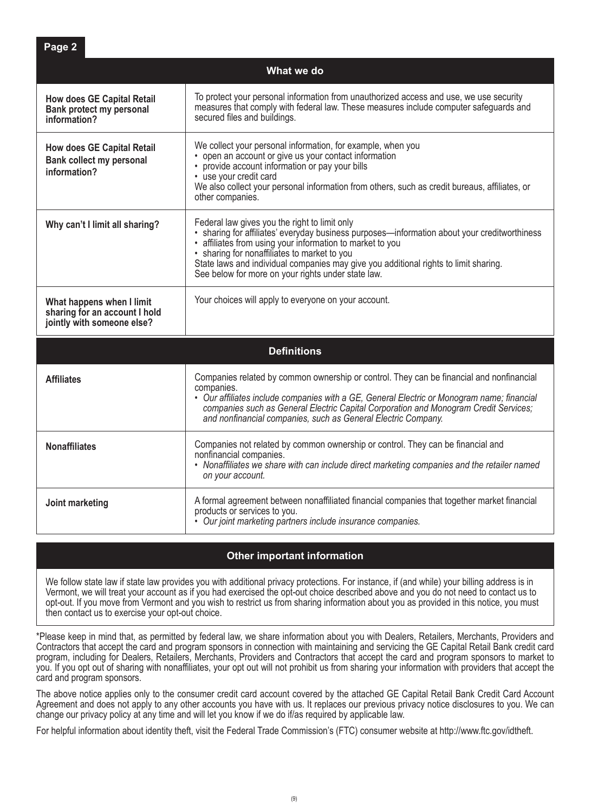|                                                                                          | What we do                                                                                                                                                                                                                                                                                                                                                                                               |
|------------------------------------------------------------------------------------------|----------------------------------------------------------------------------------------------------------------------------------------------------------------------------------------------------------------------------------------------------------------------------------------------------------------------------------------------------------------------------------------------------------|
| <b>How does GE Capital Retail</b><br>Bank protect my personal<br>information?            | To protect your personal information from unauthorized access and use, we use security<br>measures that comply with federal law. These measures include computer safeguards and<br>secured files and buildings.                                                                                                                                                                                          |
| <b>How does GE Capital Retail</b><br><b>Bank collect my personal</b><br>information?     | We collect your personal information, for example, when you<br>• open an account or give us your contact information<br>• provide account information or pay your bills<br>• use your credit card<br>We also collect your personal information from others, such as credit bureaus, affiliates, or<br>other companies.                                                                                   |
| Why can't I limit all sharing?                                                           | Federal law gives you the right to limit only<br>· sharing for affiliates' everyday business purposes—information about your creditworthiness<br>· affiliates from using your information to market to you<br>• sharing for nonaffiliates to market to you<br>State laws and individual companies may give you additional rights to limit sharing.<br>See below for more on your rights under state law. |
| What happens when I limit<br>sharing for an account I hold<br>jointly with someone else? | Your choices will apply to everyone on your account.                                                                                                                                                                                                                                                                                                                                                     |
|                                                                                          | <b>Definitions</b>                                                                                                                                                                                                                                                                                                                                                                                       |
| <b>Affiliates</b>                                                                        | Companies related by common ownership or control. They can be financial and nonfinancial<br>companies.<br>• Our affiliates include companies with a GE, General Electric or Monogram name; financial<br>companies such as General Electric Capital Corporation and Monogram Credit Services;<br>and nonfinancial companies, such as General Electric Company.                                            |
| <b>Nonaffiliates</b>                                                                     | Companies not related by common ownership or control. They can be financial and<br>nonfinancial companies.                                                                                                                                                                                                                                                                                               |

**Page 2**

| Nonaffiliates we share with can include direct marketing companies and the retailer named<br>on your account. |
|---------------------------------------------------------------------------------------------------------------|
|                                                                                                               |

**Joint marketing A** formal agreement between nonaffiliated financial companies that together market financial products or services to you. • *Our joint marketing partners include insurance companies.*

## **Other important information**

We follow state law if state law provides you with additional privacy protections. For instance, if (and while) your billing address is in Vermont, we will treat your account as if you had exercised the opt-out choice described above and you do not need to contact us to opt-out. If you move from Vermont and you wish to restrict us from sharing information about you as provided in this notice, you must then contact us to exercise your opt-out choice.

\*Please keep in mind that, as permitted by federal law, we share information about you with Dealers, Retailers, Merchants, Providers and Contractors that accept the card and program sponsors in connection with maintaining and servicing the GE Capital Retail Bank credit card program, including for Dealers, Retailers, Merchants, Providers and Contractors that accept the card and program sponsors to market to you. If you opt out of sharing with nonaffiliates, your opt out will not prohibit us from sharing your information with providers that accept the card and program sponsors.

The above notice applies only to the consumer credit card account covered by the attached GE Capital Retail Bank Credit Card Account Agreement and does not apply to any other accounts you have with us. It replaces our previous privacy notice disclosures to you. We can change our privacy policy at any time and will let you know if we do if/as required by applicable law.

For helpful information about identity theft, visit the Federal Trade Commission's (FTC) consumer website at http://www.ftc.gov/idtheft.

(9)